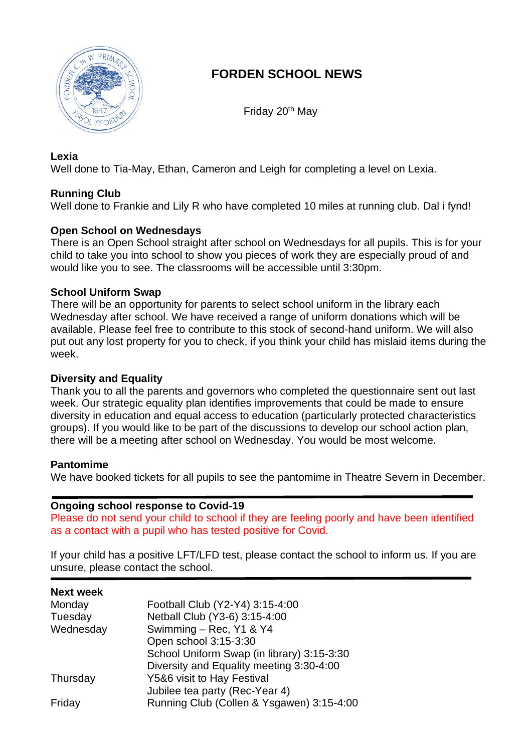

# **FORDEN SCHOOL NEWS**

Friday 20th May

#### **Lexia**

Well done to Tia-May, Ethan, Cameron and Leigh for completing a level on Lexia.

### **Running Club**

Well done to Frankie and Lily R who have completed 10 miles at running club. Dal i fynd!

#### **Open School on Wednesdays**

There is an Open School straight after school on Wednesdays for all pupils. This is for your child to take you into school to show you pieces of work they are especially proud of and would like you to see. The classrooms will be accessible until 3:30pm.

#### **School Uniform Swap**

There will be an opportunity for parents to select school uniform in the library each Wednesday after school. We have received a range of uniform donations which will be available. Please feel free to contribute to this stock of second-hand uniform. We will also put out any lost property for you to check, if you think your child has mislaid items during the week.

#### **Diversity and Equality**

Thank you to all the parents and governors who completed the questionnaire sent out last week. Our strategic equality plan identifies improvements that could be made to ensure diversity in education and equal access to education (particularly protected characteristics groups). If you would like to be part of the discussions to develop our school action plan, there will be a meeting after school on Wednesday. You would be most welcome.

#### **Pantomime**

We have booked tickets for all pupils to see the pantomime in Theatre Severn in December.

#### **Ongoing school response to Covid-19**

Please do not send your child to school if they are feeling poorly and have been identified as a contact with a pupil who has tested positive for Covid.

If your child has a positive LFT/LFD test, please contact the school to inform us. If you are unsure, please contact the school.

#### **Next week**

| Monday    | Football Club (Y2-Y4) 3:15-4:00            |
|-----------|--------------------------------------------|
|           |                                            |
| Tuesday   | Netball Club (Y3-6) 3:15-4:00              |
| Wednesday | Swimming - Rec, Y1 & Y4                    |
|           | Open school 3:15-3:30                      |
|           | School Uniform Swap (in library) 3:15-3:30 |
|           | Diversity and Equality meeting 3:30-4:00   |
| Thursday  | Y5&6 visit to Hay Festival                 |
|           | Jubilee tea party (Rec-Year 4)             |
| Friday    | Running Club (Collen & Ysgawen) 3:15-4:00  |